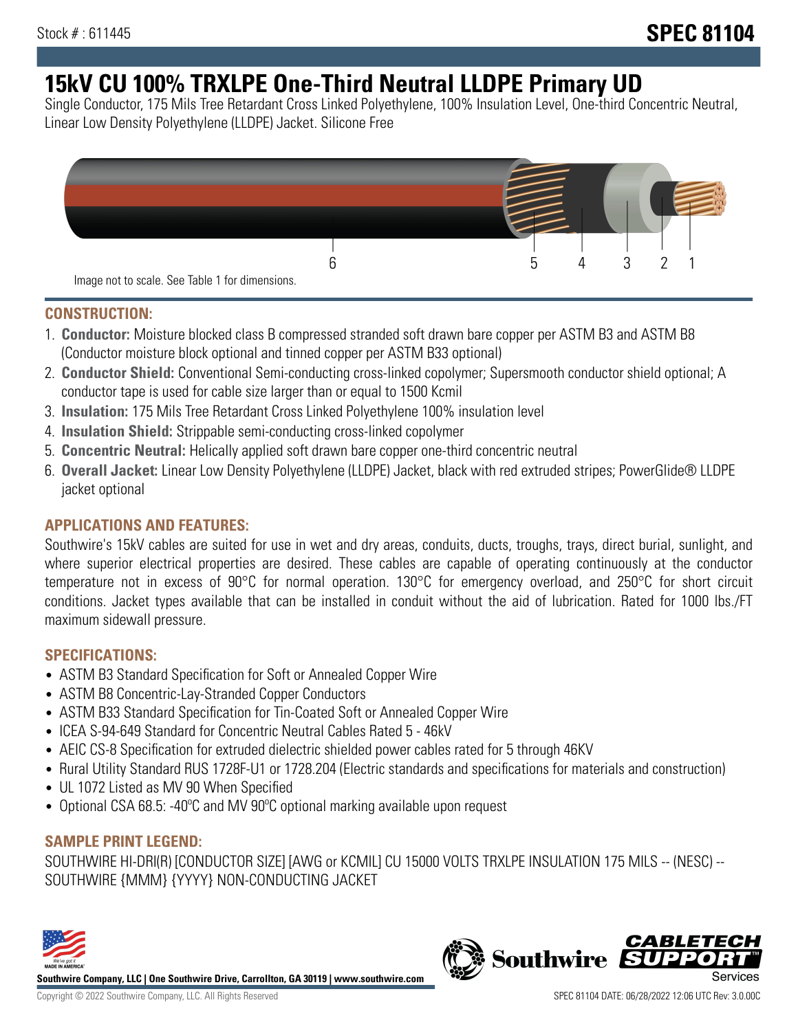# **15kV CU 100% TRXLPE One-Third Neutral LLDPE Primary UD**

Single Conductor, 175 Mils Tree Retardant Cross Linked Polyethylene, 100% Insulation Level, One-third Concentric Neutral, Linear Low Density Polyethylene (LLDPE) Jacket. Silicone Free



### **CONSTRUCTION:**

- 1. **Conductor:** Moisture blocked class B compressed stranded soft drawn bare copper per ASTM B3 and ASTM B8 (Conductor moisture block optional and tinned copper per ASTM B33 optional)
- 2. **Conductor Shield:** Conventional Semi-conducting cross-linked copolymer; Supersmooth conductor shield optional; A conductor tape is used for cable size larger than or equal to 1500 Kcmil
- 3. **Insulation:** 175 Mils Tree Retardant Cross Linked Polyethylene 100% insulation level
- 4. **Insulation Shield:** Strippable semi-conducting cross-linked copolymer
- 5. **Concentric Neutral:** Helically applied soft drawn bare copper one-third concentric neutral
- 6. **Overall Jacket:** Linear Low Density Polyethylene (LLDPE) Jacket, black with red extruded stripes; PowerGlide® LLDPE jacket optional

### **APPLICATIONS AND FEATURES:**

Southwire's 15kV cables are suited for use in wet and dry areas, conduits, ducts, troughs, trays, direct burial, sunlight, and where superior electrical properties are desired. These cables are capable of operating continuously at the conductor temperature not in excess of 90°C for normal operation. 130°C for emergency overload, and 250°C for short circuit conditions. Jacket types available that can be installed in conduit without the aid of lubrication. Rated for 1000 lbs./FT maximum sidewall pressure.

### **SPECIFICATIONS:**

- ASTM B3 Standard Specification for Soft or Annealed Copper Wire
- ASTM B8 Concentric-Lay-Stranded Copper Conductors
- ASTM B33 Standard Specification for Tin-Coated Soft or Annealed Copper Wire
- ICEA S-94-649 Standard for Concentric Neutral Cables Rated 5 46kV
- AEIC CS-8 Specification for extruded dielectric shielded power cables rated for 5 through 46KV
- Rural Utility Standard RUS 1728F-U1 or 1728.204 (Electric standards and specifications for materials and construction)
- UL 1072 Listed as MV 90 When Specified
- Optional CSA 68.5: -40ºC and MV 90ºC optional marking available upon request

### **SAMPLE PRINT LEGEND:**

SOUTHWIRE HI-DRI(R) [CONDUCTOR SIZE] [AWG or KCMIL] CU 15000 VOLTS TRXLPE INSULATION 175 MILS -- (NESC) -- SOUTHWIRE {MMM} {YYYY} NON-CONDUCTING JACKET



**Southwire Company, LLC | One Southwire Drive, Carrollton, GA 30119 | www.southwire.com**

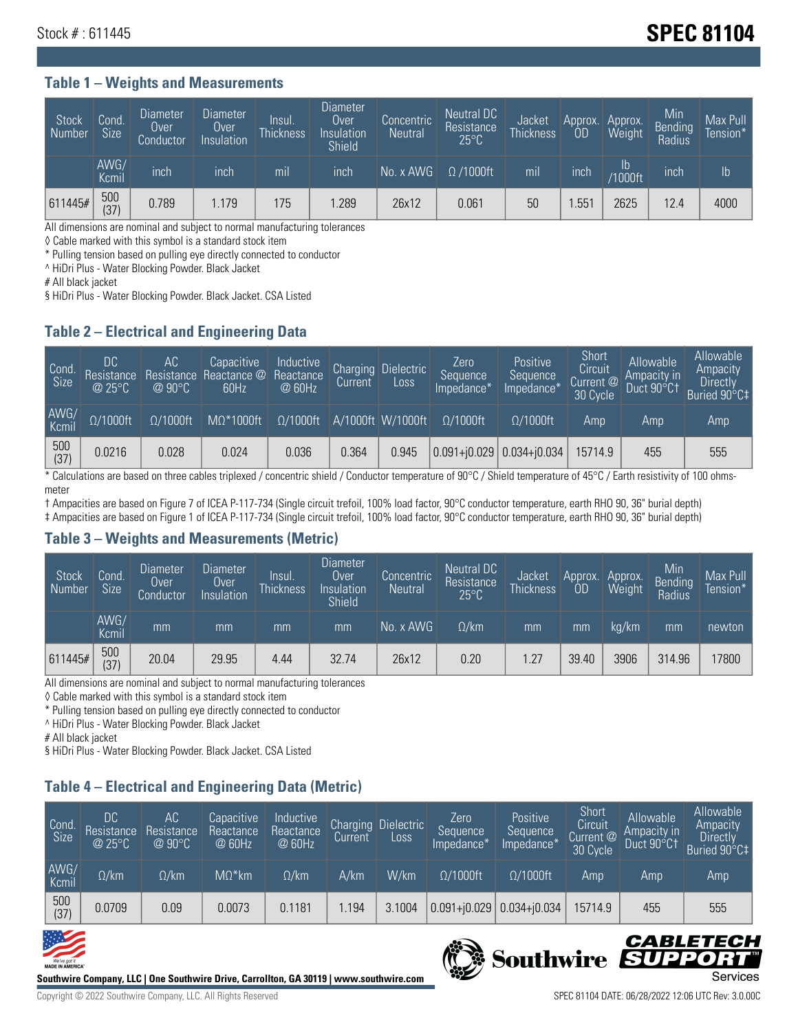## **Stock # : 611445** Stock **# : 611445**

#### **Table 1 – Weights and Measurements**

| Stock<br>Number | Cond.<br><b>Size</b> | <b>Diameter</b><br>Over<br>Conductor | <b>Diameter</b><br>Over<br>Insulation | Insul.<br><b>Thickness</b> | <b>Diameter</b><br>Over<br>Insulation<br><b>Shield</b> | Concentric<br><b>Neutral</b> | Neutral DC<br>Resistance<br>$25^{\circ}$ C | Jacket<br><b>Thickness</b> | Approx.<br><b>OD</b> | Approx.<br><b>Weight</b> | Min<br><b>Bending</b><br>Radius | Max Pull<br>Tension* |
|-----------------|----------------------|--------------------------------------|---------------------------------------|----------------------------|--------------------------------------------------------|------------------------------|--------------------------------------------|----------------------------|----------------------|--------------------------|---------------------------------|----------------------|
|                 | AWG/<br>Kcmil        | inch                                 | inch                                  | mil                        | inch                                                   | No. x AWG                    | $\Omega$ /1000ft                           | mil                        | inch                 | Ib<br><b>Y1000ft</b>     | inch                            | $\mathsf{lb}$        |
| 611445#         | 500<br>(37)          | 0.789                                | 1.179                                 | 175                        | .289                                                   | 26x12                        | 0.061                                      | 50                         | .55 <sup>1</sup>     | 2625                     | 12.4                            | 4000                 |

All dimensions are nominal and subject to normal manufacturing tolerances

◊ Cable marked with this symbol is a standard stock item

\* Pulling tension based on pulling eye directly connected to conductor

^ HiDri Plus - Water Blocking Powder. Black Jacket

# All black jacket

§ HiDri Plus - Water Blocking Powder. Black Jacket. CSA Listed

### **Table 2 – Electrical and Engineering Data**

| Cond.<br>Size | DC<br>Resistance<br>@25°C | АC<br>Resistance<br>$@90^{\circ}C$ | Capacitive<br>Reactance @<br>60Hz | Inductive<br>Reactance<br>@ 60Hz | Charging<br>Current | Dielectric<br>Loss | Zero<br>Sequence<br>Impedance*' | Positive<br>Sequence<br>Impedance <sup>*</sup> | Short<br>Circuit<br>Current $@$<br>30 Cycle | Allowable<br>Ampacity in<br>Duct 90°C1 | Allowable<br>Ampacity<br><b>Directly</b><br>Buried 90°C‡ |
|---------------|---------------------------|------------------------------------|-----------------------------------|----------------------------------|---------------------|--------------------|---------------------------------|------------------------------------------------|---------------------------------------------|----------------------------------------|----------------------------------------------------------|
| AWG/<br>Kcmil | $\Omega/1000$ ft          | $\Omega/1000$ ft                   | $M\Omega^*1000$ ft                | $\Omega/1000$ ft                 |                     | A/1000ft W/1000ft  | $O/1000$ ft                     | $\Omega$ /1000ft                               | Amp                                         | Amp                                    | Amp                                                      |
| 500<br>(37)   | 0.0216                    | 0.028                              | 0.024                             | 0.036                            | 0.364               | 0.945              |                                 | $0.091 + 0.029$ 0.034+ $0.034$                 | 15714.9                                     | 455                                    | 555                                                      |

\* Calculations are based on three cables triplexed / concentric shield / Conductor temperature of 90°C / Shield temperature of 45°C / Earth resistivity of 100 ohmsmeter

† Ampacities are based on Figure 7 of ICEA P-117-734 (Single circuit trefoil, 100% load factor, 90°C conductor temperature, earth RHO 90, 36" burial depth) ‡ Ampacities are based on Figure 1 of ICEA P-117-734 (Single circuit trefoil, 100% load factor, 90°C conductor temperature, earth RHO 90, 36" burial depth)

### **Table 3 – Weights and Measurements (Metric)**

| Stock<br>Number | Cond.<br><b>Size</b> | <b>Diameter</b><br>Over<br>Conductor | Diameter<br>Over<br>Insulation | Insul.<br><b>Thickness</b> | <b>Diameter</b><br>Over<br>Insulation<br><b>Shield</b> | Concentric<br><b>Neutral</b> | Neutral DC<br>Resistance<br>$25^{\circ}$ C | Jacket<br><b>Thickness</b> | Approx.<br>0D | Approx.<br>Weight | Min<br>Bending | Max Pull<br>Tension* |
|-----------------|----------------------|--------------------------------------|--------------------------------|----------------------------|--------------------------------------------------------|------------------------------|--------------------------------------------|----------------------------|---------------|-------------------|----------------|----------------------|
|                 | AWG/<br>Kcmil        | mm                                   | mm                             | mm                         | mm                                                     | No. x AWG                    | $\Omega$ /km                               | mm                         | mm            | ka/km             | mm             | newton               |
| 611445#         | 500<br>(37)          | 20.04                                | 29.95                          | 4.44                       | 32.74                                                  | 26x12                        | 0.20                                       | 1.27                       | 39.40         | 3906              | 314.96         | 17800                |

All dimensions are nominal and subject to normal manufacturing tolerances

◊ Cable marked with this symbol is a standard stock item

\* Pulling tension based on pulling eye directly connected to conductor

^ HiDri Plus - Water Blocking Powder. Black Jacket

# All black jacket

§ HiDri Plus - Water Blocking Powder. Black Jacket. CSA Listed

### **Table 4 – Electrical and Engineering Data (Metric)**

| Cond<br>Size  | DC<br>Resistance<br>@25°C | АC<br>Resistance<br>$Q90^\circ C$ | Capacitive<br>Reactance<br>@ 60Hz | Inductive<br>Reactance<br>@ 60Hz | Charging<br>Current, | <b>Dielectric</b><br>$L$ <sub>OSS</sub> | Zero<br>Sequence<br>Impedance* | Positive<br>Sequence<br>Impedance* | Short<br>Circuit<br>Current @<br>30 Cycle | Allowable<br>Ampacity in<br>Duct 90°C1 | Allowable<br>Ampacity<br><b>Directly</b><br>Buried 90°C‡ |
|---------------|---------------------------|-----------------------------------|-----------------------------------|----------------------------------|----------------------|-----------------------------------------|--------------------------------|------------------------------------|-------------------------------------------|----------------------------------------|----------------------------------------------------------|
| AWG/<br>Kcmil | $\Omega$ /km              | $\Omega$ /km                      | $M\Omega^*$ km                    | $\Omega$ /km                     | A/km                 | W/km                                    | $\Omega$ /1000ft               | $\Omega/1000$ ft                   | Amp                                       | Amp                                    | Amp                                                      |
| $500$<br>(37) | 0.0709                    | 0.09                              | 0.0073                            | 0.1181                           | .194                 | 3.1004                                  | $0.091 + 0.029$                | $ 0.034 + i0.034 $                 | 15714.9                                   | 455                                    | 555                                                      |